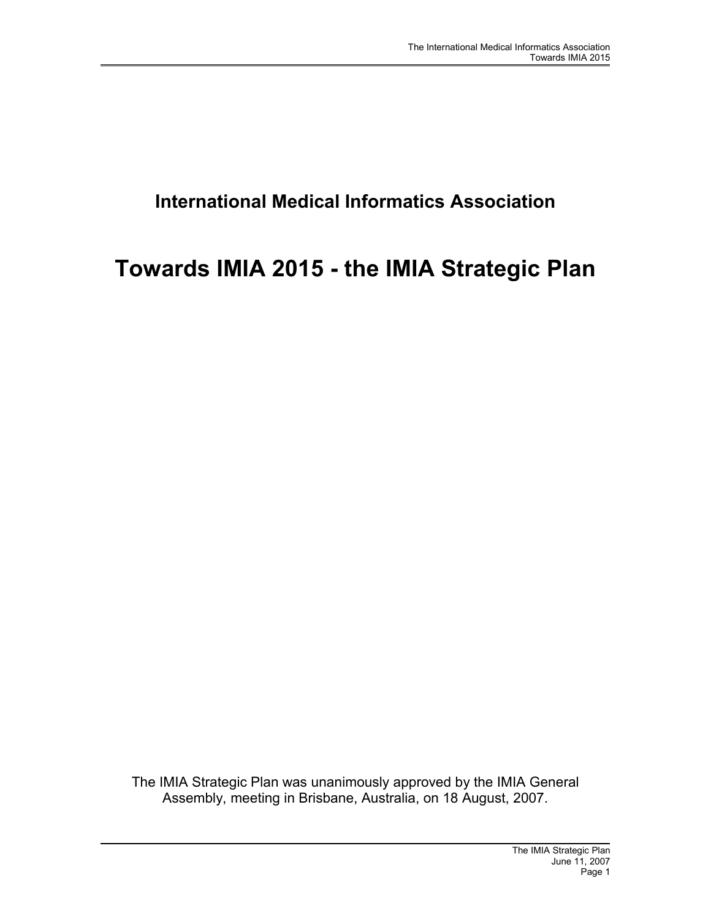# **International Medical Informatics Association**

# **Towards IMIA 2015 - the IMIA Strategic Plan**

The IMIA Strategic Plan was unanimously approved by the IMIA General Assembly, meeting in Brisbane, Australia, on 18 August, 2007.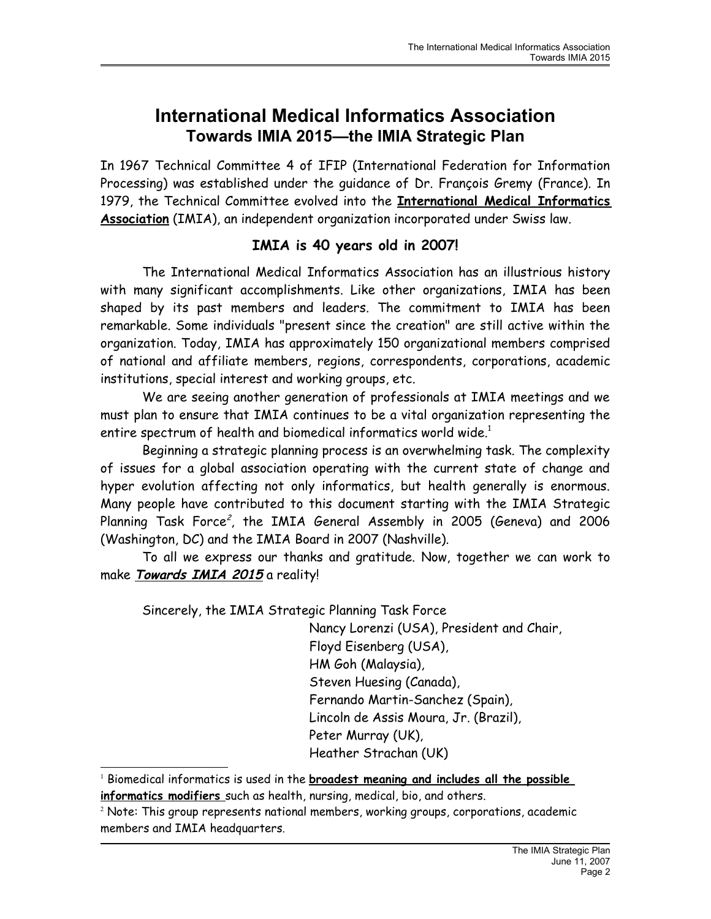# **International Medical Informatics Association Towards IMIA 2015—the IMIA Strategic Plan**

In 1967 Technical Committee 4 of IFIP (International Federation for Information Processing) was established under the guidance of Dr. François Gremy (France). In 1979, the Technical Committee evolved into the **International Medical Informatics Association** (IMIA), an independent organization incorporated under Swiss law.

### **IMIA is 40 years old in 2007!**

The International Medical Informatics Association has an illustrious history with many significant accomplishments. Like other organizations, IMIA has been shaped by its past members and leaders. The commitment to IMIA has been remarkable. Some individuals "present since the creation" are still active within the organization. Today, IMIA has approximately 150 organizational members comprised of national and affiliate members, regions, correspondents, corporations, academic institutions, special interest and working groups, etc.

We are seeing another generation of professionals at IMIA meetings and we must plan to ensure that IMIA continues to be a vital organization representing the entire spectrum of health and biomedical informatics world wide.<sup>[1](#page-1-0)</sup>

Beginning a strategic planning process is an overwhelming task. The complexity of issues for a global association operating with the current state of change and hyper evolution affecting not only informatics, but health generally is enormous. Many people have contributed to this document starting with the IMIA Strategic Planning Task Force<sup>[2](#page-1-1)</sup>, the IMIA General Assembly in 2005 (Geneva) and 2006 (Washington, DC) and the IMIA Board in 2007 (Nashville).

To all we express our thanks and gratitude. Now, together we can work to make **Towards IMIA 2015** a reality!

Sincerely, the IMIA Strategic Planning Task Force

Nancy Lorenzi (USA), President and Chair, Floyd Eisenberg (USA), HM Goh (Malaysia), Steven Huesing (Canada), Fernando Martin-Sanchez (Spain), Lincoln de Assis Moura, Jr. (Brazil), Peter Murray (UK), Heather Strachan (UK)

<span id="page-1-0"></span><sup>1</sup> Biomedical informatics is used in the **broadest meaning and includes all the possible informatics modifiers** such as health, nursing, medical, bio, and others.

<span id="page-1-1"></span> $\rm ^2$  Note: This group represents national members, working groups, corporations, academic members and IMIA headquarters.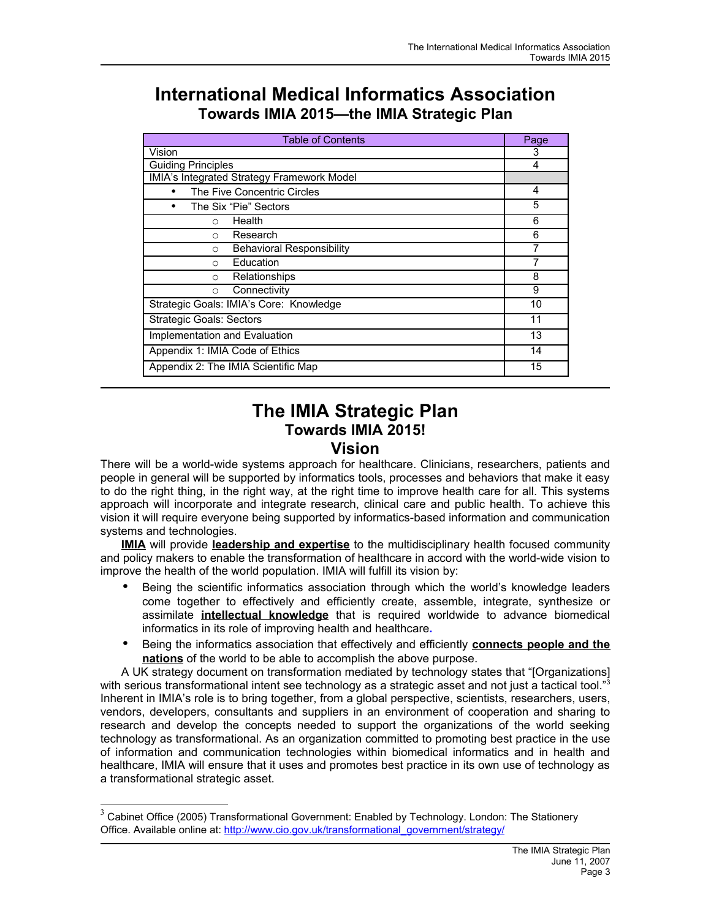# **International Medical Informatics Association Towards IMIA 2015—the IMIA Strategic Plan**

| <b>Table of Contents</b>                   |   |  |  |  |
|--------------------------------------------|---|--|--|--|
| Vision                                     |   |  |  |  |
| <b>Guiding Principles</b>                  |   |  |  |  |
| IMIA's Integrated Strategy Framework Model |   |  |  |  |
| The Five Concentric Circles                |   |  |  |  |
| The Six "Pie" Sectors                      | 5 |  |  |  |
| Health<br>$\Omega$                         | 6 |  |  |  |
| Research<br>$\Omega$                       | 6 |  |  |  |
| <b>Behavioral Responsibility</b><br>O      |   |  |  |  |
| Education<br>$\circ$                       |   |  |  |  |
| Relationships<br>$\Omega$                  | 8 |  |  |  |
| Connectivity<br>O                          | 9 |  |  |  |
| Strategic Goals: IMIA's Core: Knowledge    |   |  |  |  |
| <b>Strategic Goals: Sectors</b>            |   |  |  |  |
| Implementation and Evaluation              |   |  |  |  |
| Appendix 1: IMIA Code of Ethics            |   |  |  |  |
| Appendix 2: The IMIA Scientific Map        |   |  |  |  |

# **The IMIA Strategic Plan Towards IMIA 2015! Vision**

There will be a world-wide systems approach for healthcare. Clinicians, researchers, patients and people in general will be supported by informatics tools, processes and behaviors that make it easy to do the right thing, in the right way, at the right time to improve health care for all. This systems approach will incorporate and integrate research, clinical care and public health. To achieve this vision it will require everyone being supported by informatics-based information and communication systems and technologies.

**IMIA** will provide **leadership and expertise** to the multidisciplinary health focused community and policy makers to enable the transformation of healthcare in accord with the world-wide vision to improve the health of the world population. IMIA will fulfill its vision by:

- Being the scientific informatics association through which the world's knowledge leaders come together to effectively and efficiently create, assemble, integrate, synthesize or assimilate **intellectual knowledge** that is required worldwide to advance biomedical informatics in its role of improving health and healthcare**.**
- Being the informatics association that effectively and efficiently **connects people and the nations** of the world to be able to accomplish the above purpose.

A UK strategy document on transformation mediated by technology states that "[Organizations] with serious transformational intent see technology as a strategic asset and not just a tactical tool."<sup>[3](#page-2-0)</sup> Inherent in IMIA's role is to bring together, from a global perspective, scientists, researchers, users, vendors, developers, consultants and suppliers in an environment of cooperation and sharing to research and develop the concepts needed to support the organizations of the world seeking technology as transformational. As an organization committed to promoting best practice in the use of information and communication technologies within biomedical informatics and in health and healthcare, IMIA will ensure that it uses and promotes best practice in its own use of technology as a transformational strategic asset.

<span id="page-2-0"></span><sup>3</sup> Cabinet Office (2005) Transformational Government: Enabled by Technology. London: The Stationery Office. Available online at: [http://www.cio.gov.uk/transformational\\_government/strategy/](http://www.cio.gov.uk/transformational_government/strategy/)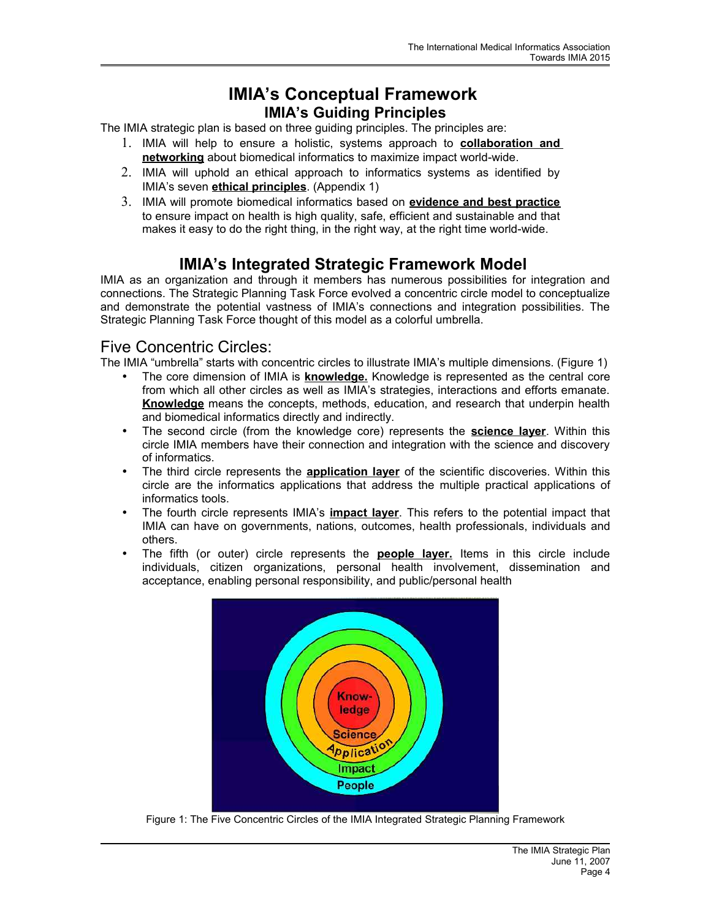## **IMIA's Conceptual Framework IMIA's Guiding Principles**

The IMIA strategic plan is based on three guiding principles. The principles are:

- 1. IMIA will help to ensure a holistic, systems approach to **collaboration and networking** about biomedical informatics to maximize impact world-wide.
- 2. IMIA will uphold an ethical approach to informatics systems as identified by IMIA's seven **ethical principles**. (Appendix 1)
- 3. IMIA will promote biomedical informatics based on **evidence and best practice** to ensure impact on health is high quality, safe, efficient and sustainable and that makes it easy to do the right thing, in the right way, at the right time world-wide.

# **IMIA's Integrated Strategic Framework Model**

IMIA as an organization and through it members has numerous possibilities for integration and connections. The Strategic Planning Task Force evolved a concentric circle model to conceptualize and demonstrate the potential vastness of IMIA's connections and integration possibilities. The Strategic Planning Task Force thought of this model as a colorful umbrella.

### Five Concentric Circles:

The IMIA "umbrella" starts with concentric circles to illustrate IMIA's multiple dimensions. (Figure 1)

- The core dimension of IMIA is **knowledge.** Knowledge is represented as the central core from which all other circles as well as IMIA's strategies, interactions and efforts emanate. **Knowledge** means the concepts, methods, education, and research that underpin health and biomedical informatics directly and indirectly.
- The second circle (from the knowledge core) represents the **science layer**. Within this circle IMIA members have their connection and integration with the science and discovery of informatics.
- The third circle represents the **application layer** of the scientific discoveries. Within this circle are the informatics applications that address the multiple practical applications of informatics tools.
- The fourth circle represents IMIA's **impact layer**. This refers to the potential impact that IMIA can have on governments, nations, outcomes, health professionals, individuals and others.
- The fifth (or outer) circle represents the **people layer.** Items in this circle include individuals, citizen organizations, personal health involvement, dissemination and acceptance, enabling personal responsibility, and public/personal health



Figure 1: The Five Concentric Circles of the IMIA Integrated Strategic Planning Framework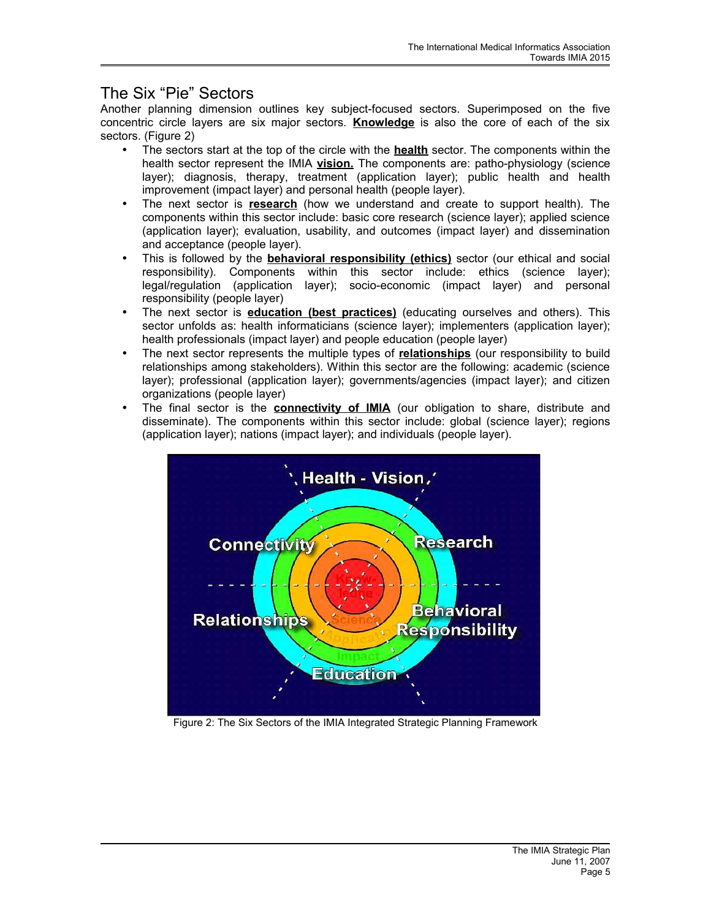### The Six "Pie" Sectors

Another planning dimension outlines key subject-focused sectors. Superimposed on the five concentric circle layers are six major sectors. **Knowledge** is also the core of each of the six sectors. (Figure 2)

- The sectors start at the top of the circle with the **health** sector. The components within the health sector represent the IMIA **vision.** The components are: patho-physiology (science layer); diagnosis, therapy, treatment (application layer); public health and health improvement (impact layer) and personal health (people layer).
- The next sector is **research** (how we understand and create to support health). The components within this sector include: basic core research (science layer); applied science (application layer); evaluation, usability, and outcomes (impact layer) and dissemination and acceptance (people layer).
- This is followed by the **behavioral responsibility (ethics)** sector (our ethical and social responsibility). Components within this sector include: ethics (science layer); legal/regulation (application layer); socio-economic (impact layer) and personal responsibility (people layer)
- The next sector is **education (best practices)** (educating ourselves and others). This sector unfolds as: health informaticians (science layer); implementers (application layer); health professionals (impact layer) and people education (people layer)
- The next sector represents the multiple types of **relationships** (our responsibility to build relationships among stakeholders). Within this sector are the following: academic (science layer); professional (application layer); governments/agencies (impact layer); and citizen organizations (people layer)
- The final sector is the **connectivity of IMIA** (our obligation to share, distribute and disseminate). The components within this sector include: global (science layer); regions (application layer); nations (impact layer); and individuals (people layer).



Figure 2: The Six Sectors of the IMIA Integrated Strategic Planning Framework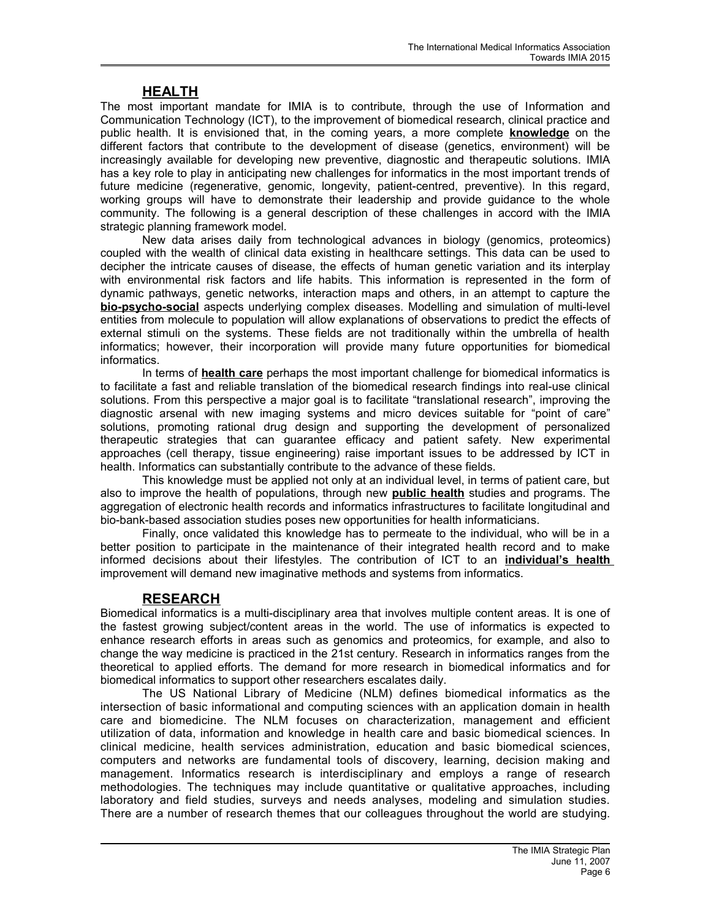### **HEALTH**

The most important mandate for IMIA is to contribute, through the use of Information and Communication Technology (ICT), to the improvement of biomedical research, clinical practice and public health. It is envisioned that, in the coming years, a more complete **knowledge** on the different factors that contribute to the development of disease (genetics, environment) will be increasingly available for developing new preventive, diagnostic and therapeutic solutions. IMIA has a key role to play in anticipating new challenges for informatics in the most important trends of future medicine (regenerative, genomic, longevity, patient-centred, preventive). In this regard, working groups will have to demonstrate their leadership and provide guidance to the whole community. The following is a general description of these challenges in accord with the IMIA strategic planning framework model.

New data arises daily from technological advances in biology (genomics, proteomics) coupled with the wealth of clinical data existing in healthcare settings. This data can be used to decipher the intricate causes of disease, the effects of human genetic variation and its interplay with environmental risk factors and life habits. This information is represented in the form of dynamic pathways, genetic networks, interaction maps and others, in an attempt to capture the **bio-psycho-social** aspects underlying complex diseases. Modelling and simulation of multi-level entities from molecule to population will allow explanations of observations to predict the effects of external stimuli on the systems. These fields are not traditionally within the umbrella of health informatics; however, their incorporation will provide many future opportunities for biomedical informatics.

In terms of **health care** perhaps the most important challenge for biomedical informatics is to facilitate a fast and reliable translation of the biomedical research findings into real-use clinical solutions. From this perspective a major goal is to facilitate "translational research", improving the diagnostic arsenal with new imaging systems and micro devices suitable for "point of care" solutions, promoting rational drug design and supporting the development of personalized therapeutic strategies that can guarantee efficacy and patient safety. New experimental approaches (cell therapy, tissue engineering) raise important issues to be addressed by ICT in health. Informatics can substantially contribute to the advance of these fields.

This knowledge must be applied not only at an individual level, in terms of patient care, but also to improve the health of populations, through new **public health** studies and programs. The aggregation of electronic health records and informatics infrastructures to facilitate longitudinal and bio-bank-based association studies poses new opportunities for health informaticians.

Finally, once validated this knowledge has to permeate to the individual, who will be in a better position to participate in the maintenance of their integrated health record and to make informed decisions about their lifestyles. The contribution of ICT to an **individual's health** improvement will demand new imaginative methods and systems from informatics.

#### **RESEARCH**

Biomedical informatics is a multi-disciplinary area that involves multiple content areas. It is one of the fastest growing subject/content areas in the world. The use of informatics is expected to enhance research efforts in areas such as genomics and proteomics, for example, and also to change the way medicine is practiced in the 21st century. Research in informatics ranges from the theoretical to applied efforts. The demand for more research in biomedical informatics and for biomedical informatics to support other researchers escalates daily.

The US National Library of Medicine (NLM) defines biomedical informatics as the intersection of basic informational and computing sciences with an application domain in health care and biomedicine. The NLM focuses on characterization, management and efficient utilization of data, information and knowledge in health care and basic biomedical sciences. In clinical medicine, health services administration, education and basic biomedical sciences, computers and networks are fundamental tools of discovery, learning, decision making and management. Informatics research is interdisciplinary and employs a range of research methodologies. The techniques may include quantitative or qualitative approaches, including laboratory and field studies, surveys and needs analyses, modeling and simulation studies. There are a number of research themes that our colleagues throughout the world are studying.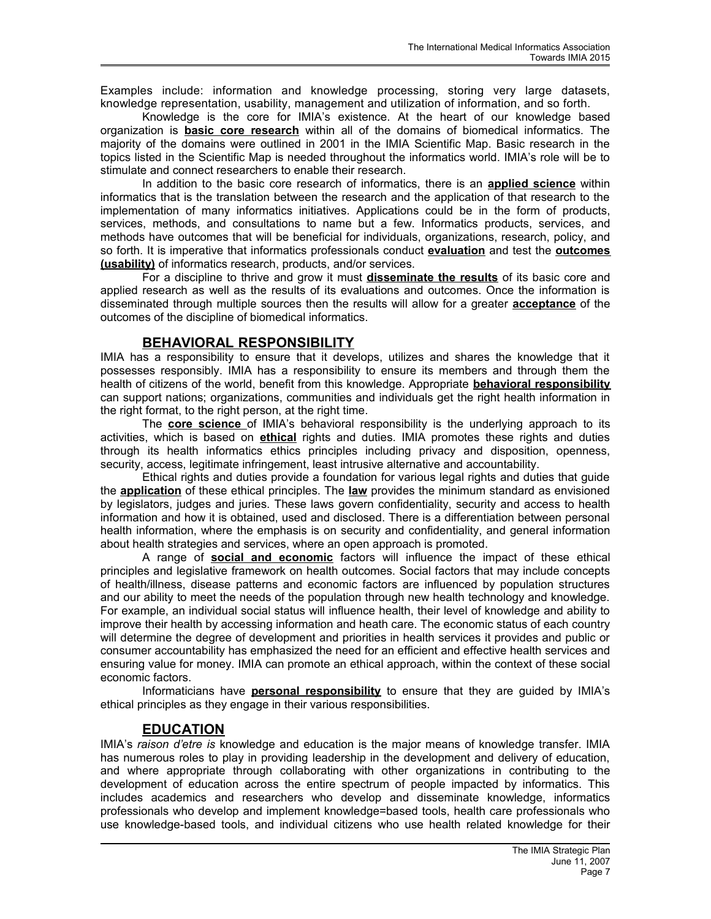Examples include: information and knowledge processing, storing very large datasets, knowledge representation, usability, management and utilization of information, and so forth.

Knowledge is the core for IMIA's existence. At the heart of our knowledge based organization is **basic core research** within all of the domains of biomedical informatics. The majority of the domains were outlined in 2001 in the IMIA Scientific Map. Basic research in the topics listed in the Scientific Map is needed throughout the informatics world. IMIA's role will be to stimulate and connect researchers to enable their research.

In addition to the basic core research of informatics, there is an **applied science** within informatics that is the translation between the research and the application of that research to the implementation of many informatics initiatives. Applications could be in the form of products, services, methods, and consultations to name but a few. Informatics products, services, and methods have outcomes that will be beneficial for individuals, organizations, research, policy, and so forth. It is imperative that informatics professionals conduct **evaluation** and test the **outcomes (usability)** of informatics research, products, and/or services.

For a discipline to thrive and grow it must **disseminate the results** of its basic core and applied research as well as the results of its evaluations and outcomes. Once the information is disseminated through multiple sources then the results will allow for a greater **acceptance** of the outcomes of the discipline of biomedical informatics.

### **BEHAVIORAL RESPONSIBILITY**

IMIA has a responsibility to ensure that it develops, utilizes and shares the knowledge that it possesses responsibly. IMIA has a responsibility to ensure its members and through them the health of citizens of the world, benefit from this knowledge. Appropriate **behavioral responsibility** can support nations; organizations, communities and individuals get the right health information in the right format, to the right person, at the right time.

The **core science** of IMIA's behavioral responsibility is the underlying approach to its activities, which is based on **ethical** rights and duties. IMIA promotes these rights and duties through its health informatics ethics principles including privacy and disposition, openness, security, access, legitimate infringement, least intrusive alternative and accountability.

Ethical rights and duties provide a foundation for various legal rights and duties that guide the **application** of these ethical principles. The **law** provides the minimum standard as envisioned by legislators, judges and juries. These laws govern confidentiality, security and access to health information and how it is obtained, used and disclosed. There is a differentiation between personal health information, where the emphasis is on security and confidentiality, and general information about health strategies and services, where an open approach is promoted.

A range of **social and economic** factors will influence the impact of these ethical principles and legislative framework on health outcomes. Social factors that may include concepts of health/illness, disease patterns and economic factors are influenced by population structures and our ability to meet the needs of the population through new health technology and knowledge. For example, an individual social status will influence health, their level of knowledge and ability to improve their health by accessing information and heath care. The economic status of each country will determine the degree of development and priorities in health services it provides and public or consumer accountability has emphasized the need for an efficient and effective health services and ensuring value for money. IMIA can promote an ethical approach, within the context of these social economic factors.

Informaticians have **personal responsibility** to ensure that they are guided by IMIA's ethical principles as they engage in their various responsibilities.

### **EDUCATION**

IMIA's *raison d'etre is* knowledge and education is the major means of knowledge transfer. IMIA has numerous roles to play in providing leadership in the development and delivery of education, and where appropriate through collaborating with other organizations in contributing to the development of education across the entire spectrum of people impacted by informatics. This includes academics and researchers who develop and disseminate knowledge, informatics professionals who develop and implement knowledge=based tools, health care professionals who use knowledge-based tools, and individual citizens who use health related knowledge for their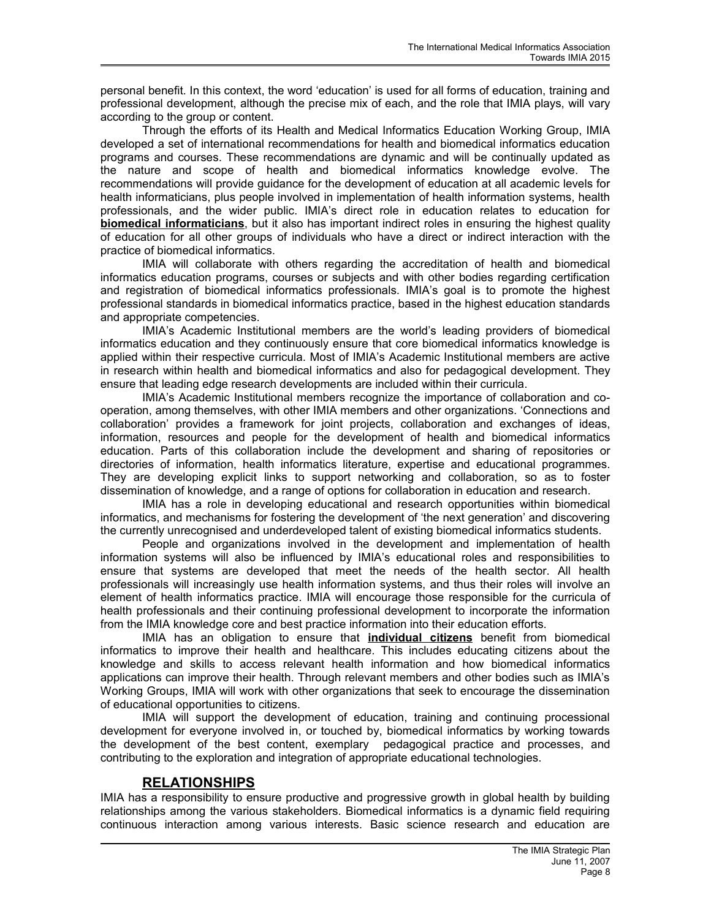personal benefit. In this context, the word 'education' is used for all forms of education, training and professional development, although the precise mix of each, and the role that IMIA plays, will vary according to the group or content.

Through the efforts of its Health and Medical Informatics Education Working Group, IMIA developed a set of international recommendations for health and biomedical informatics education programs and courses. These recommendations are dynamic and will be continually updated as the nature and scope of health and biomedical informatics knowledge evolve. The recommendations will provide guidance for the development of education at all academic levels for health informaticians, plus people involved in implementation of health information systems, health professionals, and the wider public. IMIA's direct role in education relates to education for **biomedical informaticians**, but it also has important indirect roles in ensuring the highest quality of education for all other groups of individuals who have a direct or indirect interaction with the practice of biomedical informatics.

IMIA will collaborate with others regarding the accreditation of health and biomedical informatics education programs, courses or subjects and with other bodies regarding certification and registration of biomedical informatics professionals. IMIA's goal is to promote the highest professional standards in biomedical informatics practice, based in the highest education standards and appropriate competencies.

IMIA's Academic Institutional members are the world's leading providers of biomedical informatics education and they continuously ensure that core biomedical informatics knowledge is applied within their respective curricula. Most of IMIA's Academic Institutional members are active in research within health and biomedical informatics and also for pedagogical development. They ensure that leading edge research developments are included within their curricula.

IMIA's Academic Institutional members recognize the importance of collaboration and cooperation, among themselves, with other IMIA members and other organizations. 'Connections and collaboration' provides a framework for joint projects, collaboration and exchanges of ideas, information, resources and people for the development of health and biomedical informatics education. Parts of this collaboration include the development and sharing of repositories or directories of information, health informatics literature, expertise and educational programmes. They are developing explicit links to support networking and collaboration, so as to foster dissemination of knowledge, and a range of options for collaboration in education and research.

IMIA has a role in developing educational and research opportunities within biomedical informatics, and mechanisms for fostering the development of 'the next generation' and discovering the currently unrecognised and underdeveloped talent of existing biomedical informatics students.

People and organizations involved in the development and implementation of health information systems will also be influenced by IMIA's educational roles and responsibilities to ensure that systems are developed that meet the needs of the health sector. All health professionals will increasingly use health information systems, and thus their roles will involve an element of health informatics practice. IMIA will encourage those responsible for the curricula of health professionals and their continuing professional development to incorporate the information from the IMIA knowledge core and best practice information into their education efforts.

IMIA has an obligation to ensure that **individual citizens** benefit from biomedical informatics to improve their health and healthcare. This includes educating citizens about the knowledge and skills to access relevant health information and how biomedical informatics applications can improve their health. Through relevant members and other bodies such as IMIA's Working Groups, IMIA will work with other organizations that seek to encourage the dissemination of educational opportunities to citizens.

IMIA will support the development of education, training and continuing processional development for everyone involved in, or touched by, biomedical informatics by working towards the development of the best content, exemplary pedagogical practice and processes, and contributing to the exploration and integration of appropriate educational technologies.

### **RELATIONSHIPS**

IMIA has a responsibility to ensure productive and progressive growth in global health by building relationships among the various stakeholders. Biomedical informatics is a dynamic field requiring continuous interaction among various interests. Basic science research and education are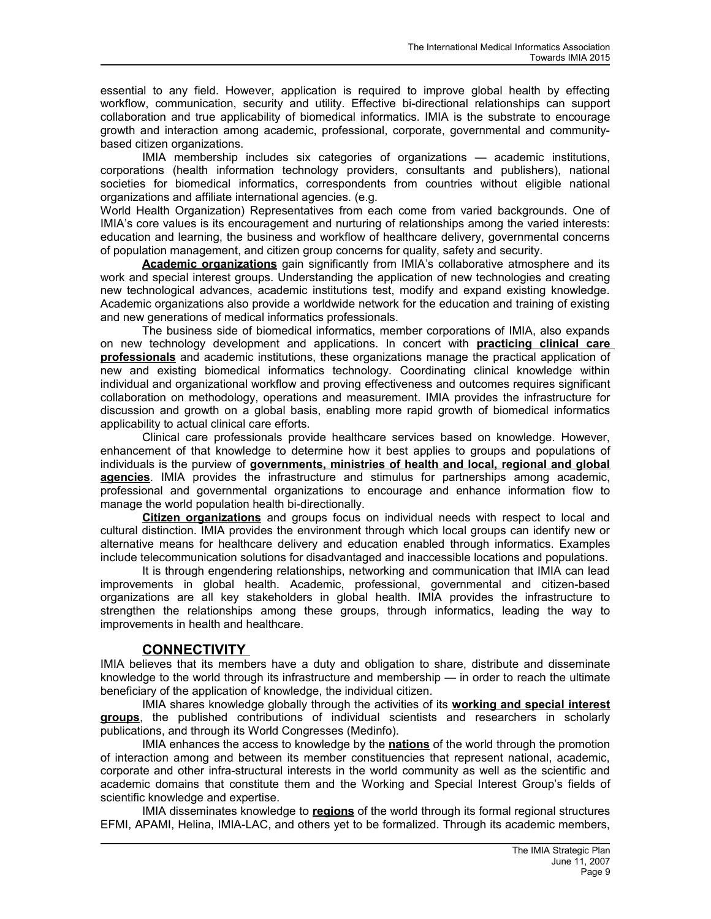essential to any field. However, application is required to improve global health by effecting workflow, communication, security and utility. Effective bi-directional relationships can support collaboration and true applicability of biomedical informatics. IMIA is the substrate to encourage growth and interaction among academic, professional, corporate, governmental and communitybased citizen organizations.

IMIA membership includes six categories of organizations — academic institutions, corporations (health information technology providers, consultants and publishers), national societies for biomedical informatics, correspondents from countries without eligible national organizations and affiliate international agencies. (e.g.

World Health Organization) Representatives from each come from varied backgrounds. One of IMIA's core values is its encouragement and nurturing of relationships among the varied interests: education and learning, the business and workflow of healthcare delivery, governmental concerns of population management, and citizen group concerns for quality, safety and security.

**Academic organizations** gain significantly from IMIA's collaborative atmosphere and its work and special interest groups. Understanding the application of new technologies and creating new technological advances, academic institutions test, modify and expand existing knowledge. Academic organizations also provide a worldwide network for the education and training of existing and new generations of medical informatics professionals.

The business side of biomedical informatics, member corporations of IMIA, also expands on new technology development and applications. In concert with **practicing clinical care professionals** and academic institutions, these organizations manage the practical application of new and existing biomedical informatics technology. Coordinating clinical knowledge within individual and organizational workflow and proving effectiveness and outcomes requires significant collaboration on methodology, operations and measurement. IMIA provides the infrastructure for discussion and growth on a global basis, enabling more rapid growth of biomedical informatics applicability to actual clinical care efforts.

Clinical care professionals provide healthcare services based on knowledge. However, enhancement of that knowledge to determine how it best applies to groups and populations of individuals is the purview of **governments, ministries of health and local, regional and global agencies**. IMIA provides the infrastructure and stimulus for partnerships among academic, professional and governmental organizations to encourage and enhance information flow to manage the world population health bi-directionally.

**Citizen organizations** and groups focus on individual needs with respect to local and cultural distinction. IMIA provides the environment through which local groups can identify new or alternative means for healthcare delivery and education enabled through informatics. Examples include telecommunication solutions for disadvantaged and inaccessible locations and populations.

It is through engendering relationships, networking and communication that IMIA can lead improvements in global health. Academic, professional, governmental and citizen-based organizations are all key stakeholders in global health. IMIA provides the infrastructure to strengthen the relationships among these groups, through informatics, leading the way to improvements in health and healthcare.

### **CONNECTIVITY**

IMIA believes that its members have a duty and obligation to share, distribute and disseminate knowledge to the world through its infrastructure and membership — in order to reach the ultimate beneficiary of the application of knowledge, the individual citizen.

IMIA shares knowledge globally through the activities of its **working and special interest groups**, the published contributions of individual scientists and researchers in scholarly publications, and through its World Congresses (Medinfo).

IMIA enhances the access to knowledge by the **nations** of the world through the promotion of interaction among and between its member constituencies that represent national, academic, corporate and other infra-structural interests in the world community as well as the scientific and academic domains that constitute them and the Working and Special Interest Group's fields of scientific knowledge and expertise.

IMIA disseminates knowledge to **regions** of the world through its formal regional structures EFMI, APAMI, Helina, IMIA-LAC, and others yet to be formalized. Through its academic members,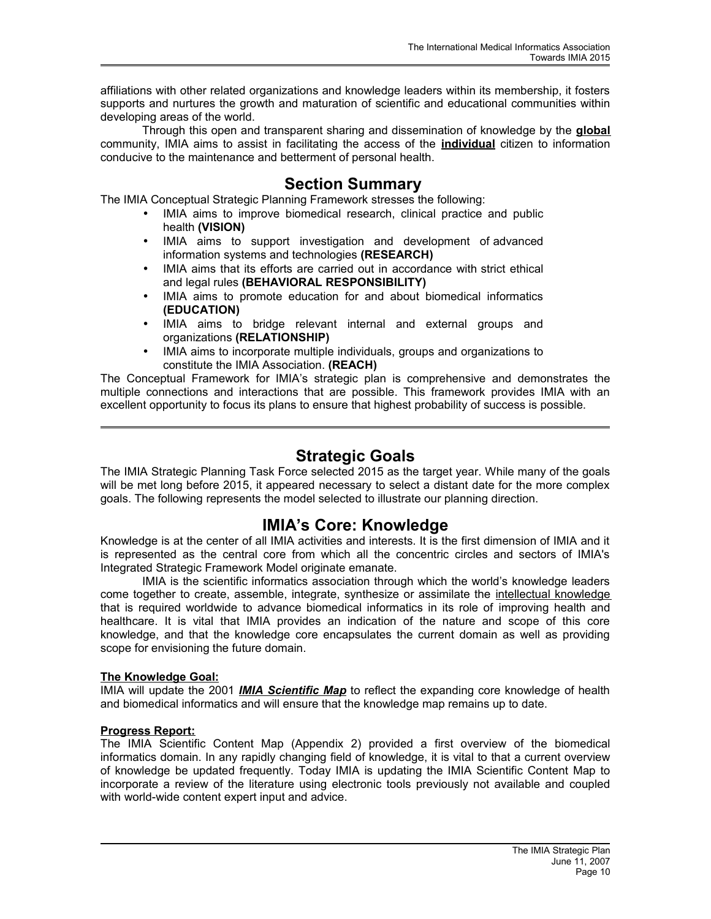affiliations with other related organizations and knowledge leaders within its membership, it fosters supports and nurtures the growth and maturation of scientific and educational communities within developing areas of the world.

Through this open and transparent sharing and dissemination of knowledge by the **global** community, IMIA aims to assist in facilitating the access of the **individual** citizen to information conducive to the maintenance and betterment of personal health.

### **Section Summary**

The IMIA Conceptual Strategic Planning Framework stresses the following:

- IMIA aims to improve biomedical research, clinical practice and public health **(VISION)**
- IMIA aims to support investigation and development of advanced information systems and technologies **(RESEARCH)**
- IMIA aims that its efforts are carried out in accordance with strict ethical and legal rules **(BEHAVIORAL RESPONSIBILITY)**
- IMIA aims to promote education for and about biomedical informatics **(EDUCATION)**
- IMIA aims to bridge relevant internal and external groups and organizations **(RELATIONSHIP)**
- IMIA aims to incorporate multiple individuals, groups and organizations to constitute the IMIA Association. **(REACH)**

The Conceptual Framework for IMIA's strategic plan is comprehensive and demonstrates the multiple connections and interactions that are possible. This framework provides IMIA with an excellent opportunity to focus its plans to ensure that highest probability of success is possible.

### **Strategic Goals**

The IMIA Strategic Planning Task Force selected 2015 as the target year. While many of the goals will be met long before 2015, it appeared necessary to select a distant date for the more complex goals. The following represents the model selected to illustrate our planning direction.

### **IMIA's Core: Knowledge**

Knowledge is at the center of all IMIA activities and interests. It is the first dimension of IMIA and it is represented as the central core from which all the concentric circles and sectors of IMIA's Integrated Strategic Framework Model originate emanate.

IMIA is the scientific informatics association through which the world's knowledge leaders come together to create, assemble, integrate, synthesize or assimilate the intellectual knowledge that is required worldwide to advance biomedical informatics in its role of improving health and healthcare. It is vital that IMIA provides an indication of the nature and scope of this core knowledge, and that the knowledge core encapsulates the current domain as well as providing scope for envisioning the future domain.

#### **The Knowledge Goal:**

IMIA will update the 2001 *IMIA Scientific Map* to reflect the expanding core knowledge of health and biomedical informatics and will ensure that the knowledge map remains up to date.

#### **Progress Report:**

The IMIA Scientific Content Map (Appendix 2) provided a first overview of the biomedical informatics domain. In any rapidly changing field of knowledge, it is vital to that a current overview of knowledge be updated frequently. Today IMIA is updating the IMIA Scientific Content Map to incorporate a review of the literature using electronic tools previously not available and coupled with world-wide content expert input and advice.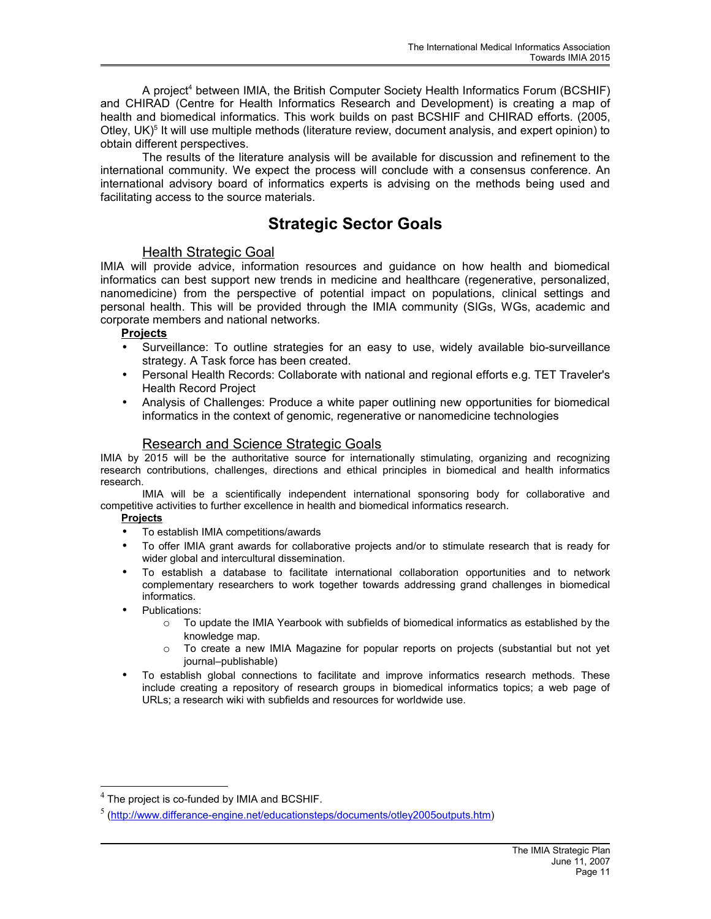A project<sup>[4](#page-10-0)</sup> between IMIA, the British Computer Society Health Informatics Forum (BCSHIF) and CHIRAD (Centre for Health Informatics Research and Development) is creating a map of health and biomedical informatics. This work builds on past BCSHIF and CHIRAD efforts. (2005, Otley, UK)<sup>[5](#page-10-1)</sup> It will use multiple methods (literature review, document analysis, and expert opinion) to obtain different perspectives.

The results of the literature analysis will be available for discussion and refinement to the international community. We expect the process will conclude with a consensus conference. An international advisory board of informatics experts is advising on the methods being used and facilitating access to the source materials.

## **Strategic Sector Goals**

#### Health Strategic Goal

IMIA will provide advice, information resources and guidance on how health and biomedical informatics can best support new trends in medicine and healthcare (regenerative, personalized, nanomedicine) from the perspective of potential impact on populations, clinical settings and personal health. This will be provided through the IMIA community (SIGs, WGs, academic and corporate members and national networks.

#### **Projects**

- Surveillance: To outline strategies for an easy to use, widely available bio-surveillance strategy. A Task force has been created.
- Personal Health Records: Collaborate with national and regional efforts e.g. TET Traveler's Health Record Project
- Analysis of Challenges: Produce a white paper outlining new opportunities for biomedical informatics in the context of genomic, regenerative or nanomedicine technologies

#### Research and Science Strategic Goals

IMIA by 2015 will be the authoritative source for internationally stimulating, organizing and recognizing research contributions, challenges, directions and ethical principles in biomedical and health informatics research.

IMIA will be a scientifically independent international sponsoring body for collaborative and competitive activities to further excellence in health and biomedical informatics research.

#### **Projects**

- To establish IMIA competitions/awards
- To offer IMIA grant awards for collaborative projects and/or to stimulate research that is ready for wider global and intercultural dissemination.
- To establish a database to facilitate international collaboration opportunities and to network complementary researchers to work together towards addressing grand challenges in biomedical informatics.
- Publications:
	- $\circ$  To update the IMIA Yearbook with subfields of biomedical informatics as established by the knowledge map.
	- o To create a new IMIA Magazine for popular reports on projects (substantial but not yet journal–publishable)
- To establish global connections to facilitate and improve informatics research methods. These include creating a repository of research groups in biomedical informatics topics; a web page of URLs; a research wiki with subfields and resources for worldwide use.

<span id="page-10-0"></span> $^4$  The project is co-funded by IMIA and BCSHIF.

<span id="page-10-1"></span><sup>5</sup> [\(http://www.differance-engine.net/educationsteps/documents/otley2005outputs.htm\)](http://www.differance-engine.net/educationsteps/documents/otley2005outputs.htm)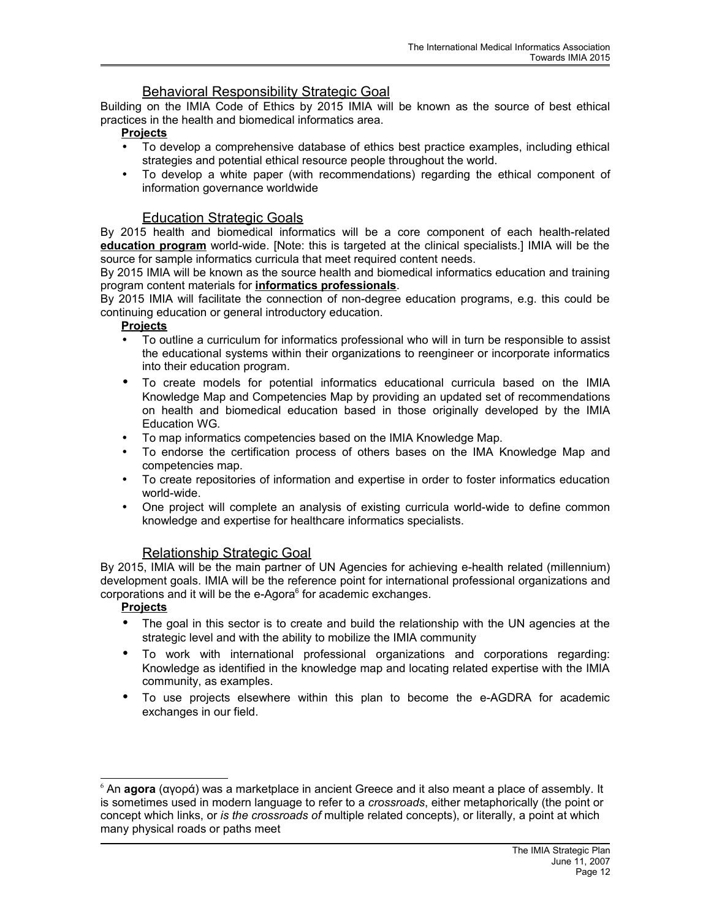### Behavioral Responsibility Strategic Goal

Building on the IMIA Code of Ethics by 2015 IMIA will be known as the source of best ethical practices in the health and biomedical informatics area.

#### **Projects**

- To develop a comprehensive database of ethics best practice examples, including ethical strategies and potential ethical resource people throughout the world.
- To develop a white paper (with recommendations) regarding the ethical component of information governance worldwide

### Education Strategic Goals

By 2015 health and biomedical informatics will be a core component of each health-related **education program** world-wide. [Note: this is targeted at the clinical specialists.] IMIA will be the source for sample informatics curricula that meet required content needs.

By 2015 IMIA will be known as the source health and biomedical informatics education and training program content materials for **informatics professionals**.

By 2015 IMIA will facilitate the connection of non-degree education programs, e.g. this could be continuing education or general introductory education.

#### **Projects**

- To outline a curriculum for informatics professional who will in turn be responsible to assist the educational systems within their organizations to reengineer or incorporate informatics into their education program.
- To create models for potential informatics educational curricula based on the IMIA Knowledge Map and Competencies Map by providing an updated set of recommendations on health and biomedical education based in those originally developed by the IMIA Education WG.
- To map informatics competencies based on the IMIA Knowledge Map.
- To endorse the certification process of others bases on the IMA Knowledge Map and competencies map.
- To create repositories of information and expertise in order to foster informatics education world-wide.
- One project will complete an analysis of existing curricula world-wide to define common knowledge and expertise for healthcare informatics specialists.

#### Relationship Strategic Goal

By 2015, IMIA will be the main partner of UN Agencies for achieving e-health related (millennium) development goals. IMIA will be the reference point for international professional organizations and corporations and it will be the e-Agora $<sup>6</sup>$  $<sup>6</sup>$  $<sup>6</sup>$  for academic exchanges.</sup>

#### **Projects**

- The goal in this sector is to create and build the relationship with the UN agencies at the strategic level and with the ability to mobilize the IMIA community
- To work with international professional organizations and corporations regarding: Knowledge as identified in the knowledge map and locating related expertise with the IMIA community, as examples.
- To use projects elsewhere within this plan to become the e-AGDRA for academic exchanges in our field.

<span id="page-11-0"></span><sup>6</sup> An **agora** (αγορά) was a [marketplace](http://en.wikipedia.org/wiki/Marketplace) in ancient Greece and it also meant a place of assembly. It is sometimes used in modern language to refer to a *crossroads*, either metaphorically (the point or concept which links, or *is the crossroads of* multiple related concepts), or literally, a point at which many physical roads or paths meet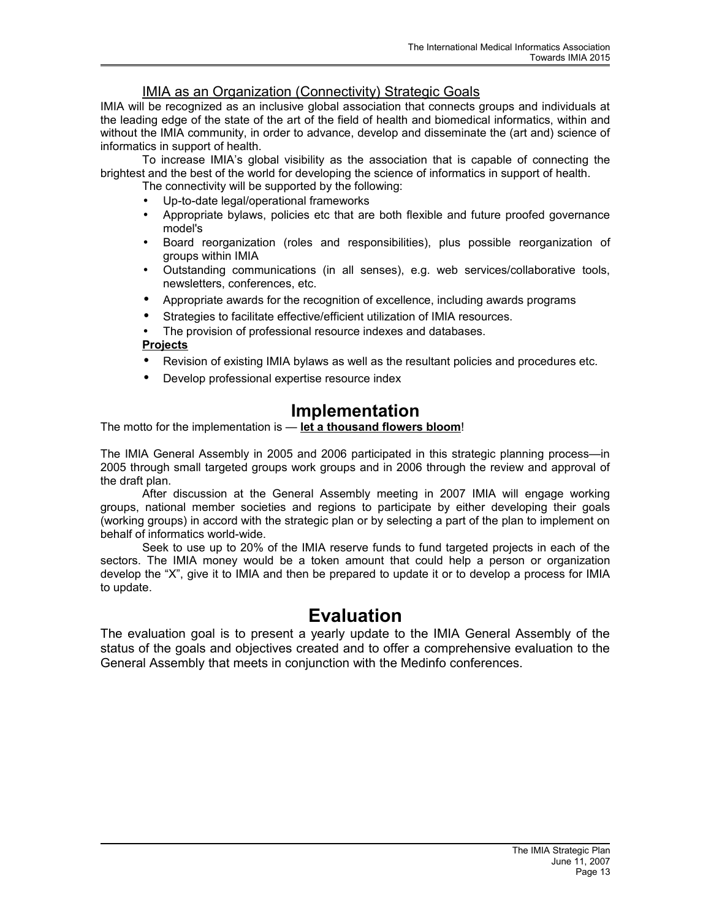### IMIA as an Organization ( Connectivity) Strategic Goals

IMIA will be recognized as an inclusive global association that connects groups and individuals at the leading edge of the state of the art of the field of health and biomedical informatics, within and without the IMIA community, in order to advance, develop and disseminate the (art and) science of informatics in support of health.

To increase IMIA's global visibility as the association that is capable of connecting the brightest and the best of the world for developing the science of informatics in support of health.

- The connectivity will be supported by the following:
- Up-to-date legal/operational frameworks
- Appropriate bylaws, policies etc that are both flexible and future proofed governance model's
- Board reorganization (roles and responsibilities), plus possible reorganization of groups within IMIA
- Outstanding communications (in all senses), e.g. web services/collaborative tools, newsletters, conferences, etc.
- Appropriate awards for the recognition of excellence, including awards programs
- Strategies to facilitate effective/efficient utilization of IMIA resources.
- The provision of professional resource indexes and databases.

#### **Projects**

- Revision of existing IMIA bylaws as well as the resultant policies and procedures etc.
- Develop professional expertise resource index

# **Implementation**

The motto for the implementation is — **let a thousand flowers bloom**!

The IMIA General Assembly in 2005 and 2006 participated in this strategic planning process—in 2005 through small targeted groups work groups and in 2006 through the review and approval of the draft plan.

After discussion at the General Assembly meeting in 2007 IMIA will engage working groups, national member societies and regions to participate by either developing their goals (working groups) in accord with the strategic plan or by selecting a part of the plan to implement on behalf of informatics world-wide.

Seek to use up to 20% of the IMIA reserve funds to fund targeted projects in each of the sectors. The IMIA money would be a token amount that could help a person or organization develop the "X", give it to IMIA and then be prepared to update it or to develop a process for IMIA to update.

# **Evaluation**

The evaluation goal is to present a yearly update to the IMIA General Assembly of the status of the goals and objectives created and to offer a comprehensive evaluation to the General Assembly that meets in conjunction with the Medinfo conferences.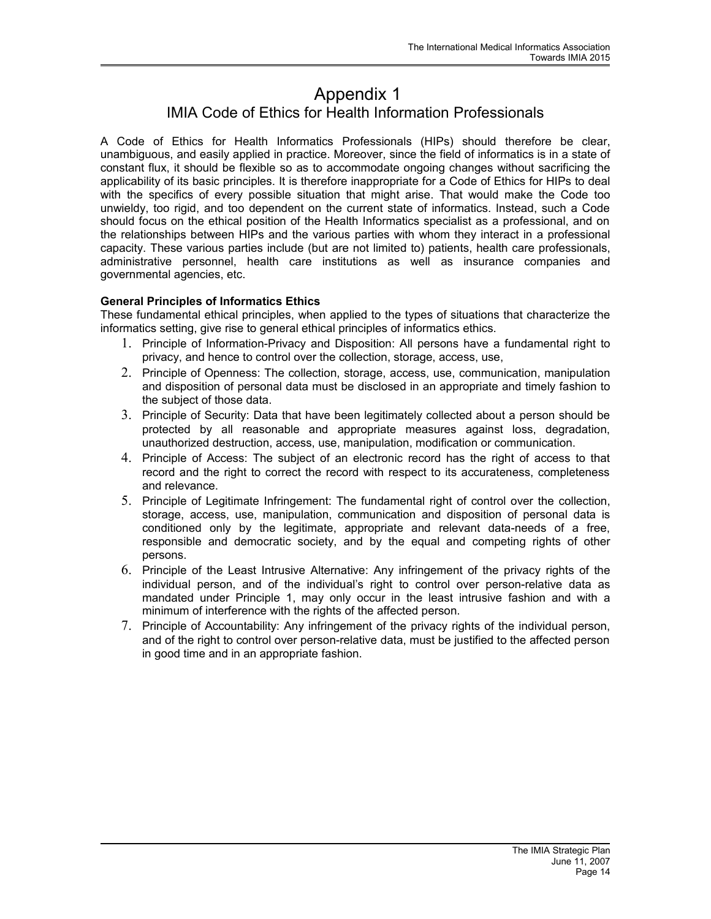## Appendix 1 IMIA Code of Ethics for Health Information Professionals

A Code of Ethics for Health Informatics Professionals (HIPs) should therefore be clear, unambiguous, and easily applied in practice. Moreover, since the field of informatics is in a state of constant flux, it should be flexible so as to accommodate ongoing changes without sacrificing the applicability of its basic principles. It is therefore inappropriate for a Code of Ethics for HIPs to deal with the specifics of every possible situation that might arise. That would make the Code too unwieldy, too rigid, and too dependent on the current state of informatics. Instead, such a Code should focus on the ethical position of the Health Informatics specialist as a professional, and on the relationships between HIPs and the various parties with whom they interact in a professional capacity. These various parties include (but are not limited to) patients, health care professionals, administrative personnel, health care institutions as well as insurance companies and governmental agencies, etc.

#### **General Principles of Informatics Ethics**

These fundamental ethical principles, when applied to the types of situations that characterize the informatics setting, give rise to general ethical principles of informatics ethics.

- 1. Principle of Information-Privacy and Disposition: All persons have a fundamental right to privacy, and hence to control over the collection, storage, access, use,
- 2. Principle of Openness: The collection, storage, access, use, communication, manipulation and disposition of personal data must be disclosed in an appropriate and timely fashion to the subject of those data.
- 3. Principle of Security: Data that have been legitimately collected about a person should be protected by all reasonable and appropriate measures against loss, degradation, unauthorized destruction, access, use, manipulation, modification or communication.
- 4. Principle of Access: The subject of an electronic record has the right of access to that record and the right to correct the record with respect to its accurateness, completeness and relevance.
- 5. Principle of Legitimate Infringement: The fundamental right of control over the collection, storage, access, use, manipulation, communication and disposition of personal data is conditioned only by the legitimate, appropriate and relevant data-needs of a free, responsible and democratic society, and by the equal and competing rights of other persons.
- 6. Principle of the Least Intrusive Alternative: Any infringement of the privacy rights of the individual person, and of the individual's right to control over person-relative data as mandated under Principle 1, may only occur in the least intrusive fashion and with a minimum of interference with the rights of the affected person.
- 7. Principle of Accountability: Any infringement of the privacy rights of the individual person, and of the right to control over person-relative data, must be justified to the affected person in good time and in an appropriate fashion.